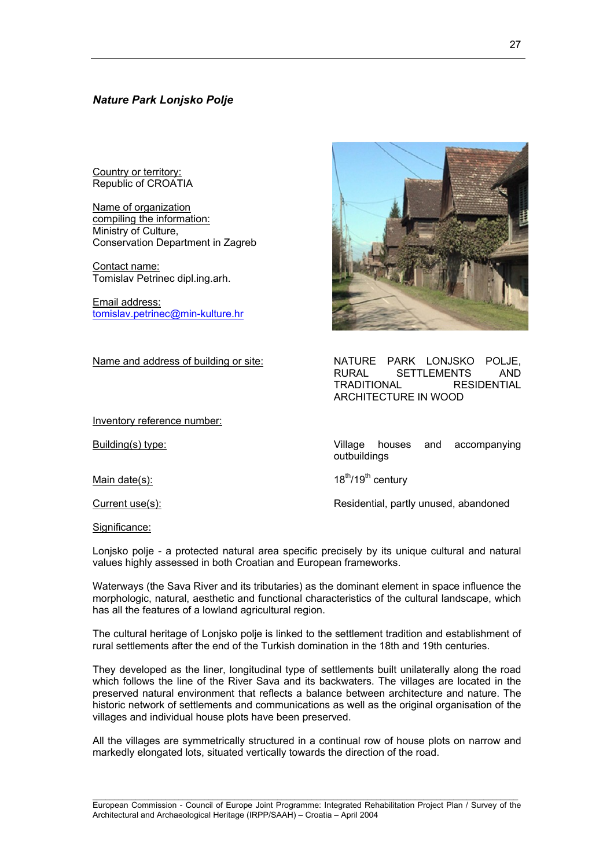# *Nature Park Lonjsko Polje*

Country or territory: Republic of CROATIA

Name of organization compiling the information: Ministry of Culture, Conservation Department in Zagreb

Contact name: Tomislav Petrinec dipl.ing.arh.

Email address: [tomislav.petrinec@min-kulture.hr](mailto:tomislav.petrinec@min-kulture.hr)

Inventory reference number:

## Name and address of building or site: NATURE PARK LONJSKO POLJE,

Building(s) type: Village houses and accompanying outbuildings

RURAL SETTLEMENTS AND TRADITIONAL RESIDENTIAL

Main date(s):  $18^{th}/19^{th}$  century

ARCHITECTURE IN WOOD

Current use(s): Residential, partly unused, abandoned

Significance:

Lonjsko polje - a protected natural area specific precisely by its unique cultural and natural values highly assessed in both Croatian and European frameworks.

Waterways (the Sava River and its tributaries) as the dominant element in space influence the morphologic, natural, aesthetic and functional characteristics of the cultural landscape, which has all the features of a lowland agricultural region.

The cultural heritage of Lonjsko polje is linked to the settlement tradition and establishment of rural settlements after the end of the Turkish domination in the 18th and 19th centuries.

They developed as the liner, longitudinal type of settlements built unilaterally along the road which follows the line of the River Sava and its backwaters. The villages are located in the preserved natural environment that reflects a balance between architecture and nature. The historic network of settlements and communications as well as the original organisation of the villages and individual house plots have been preserved.

All the villages are symmetrically structured in a continual row of house plots on narrow and markedly elongated lots, situated vertically towards the direction of the road.

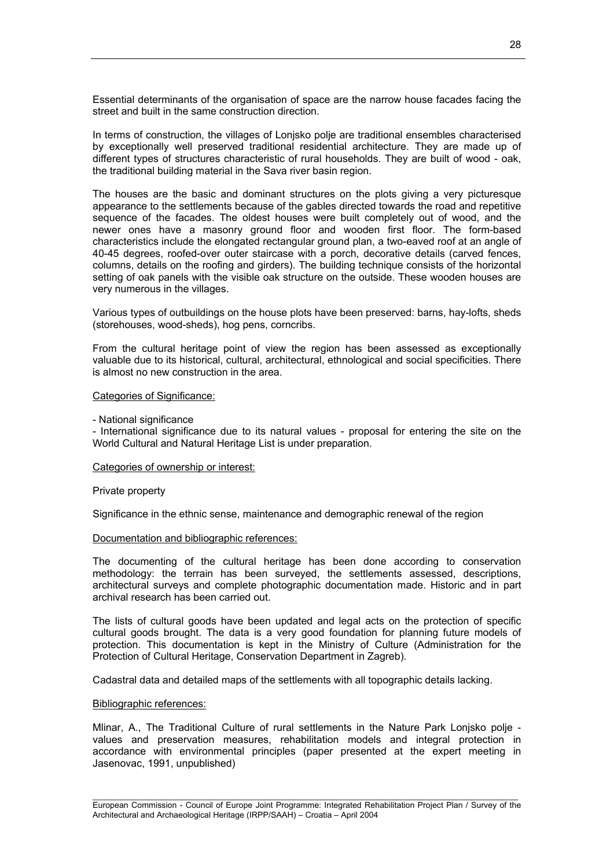Essential determinants of the organisation of space are the narrow house facades facing the street and built in the same construction direction.

In terms of construction, the villages of Lonjsko polje are traditional ensembles characterised by exceptionally well preserved traditional residential architecture. They are made up of different types of structures characteristic of rural households. They are built of wood - oak, the traditional building material in the Sava river basin region.

The houses are the basic and dominant structures on the plots giving a very picturesque appearance to the settlements because of the gables directed towards the road and repetitive sequence of the facades. The oldest houses were built completely out of wood, and the newer ones have a masonry ground floor and wooden first floor. The form-based characteristics include the elongated rectangular ground plan, a two-eaved roof at an angle of 40-45 degrees, roofed-over outer staircase with a porch, decorative details (carved fences, columns, details on the roofing and girders). The building technique consists of the horizontal setting of oak panels with the visible oak structure on the outside. These wooden houses are very numerous in the villages.

Various types of outbuildings on the house plots have been preserved: barns, hay-lofts, sheds (storehouses, wood-sheds), hog pens, corncribs.

From the cultural heritage point of view the region has been assessed as exceptionally valuable due to its historical, cultural, architectural, ethnological and social specificities. There is almost no new construction in the area.

#### Categories of Significance:

- National significance

- International significance due to its natural values - proposal for entering the site on the World Cultural and Natural Heritage List is under preparation.

## Categories of ownership or interest:

#### Private property

Significance in the ethnic sense, maintenance and demographic renewal of the region

### Documentation and bibliographic references:

The documenting of the cultural heritage has been done according to conservation methodology: the terrain has been surveyed, the settlements assessed, descriptions, architectural surveys and complete photographic documentation made. Historic and in part archival research has been carried out.

The lists of cultural goods have been updated and legal acts on the protection of specific cultural goods brought. The data is a very good foundation for planning future models of protection. This documentation is kept in the Ministry of Culture (Administration for the Protection of Cultural Heritage, Conservation Department in Zagreb).

Cadastral data and detailed maps of the settlements with all topographic details lacking.

### Bibliographic references:

Mlinar, A., The Traditional Culture of rural settlements in the Nature Park Lonjsko polje values and preservation measures, rehabilitation models and integral protection in accordance with environmental principles (paper presented at the expert meeting in Jasenovac, 1991, unpublished)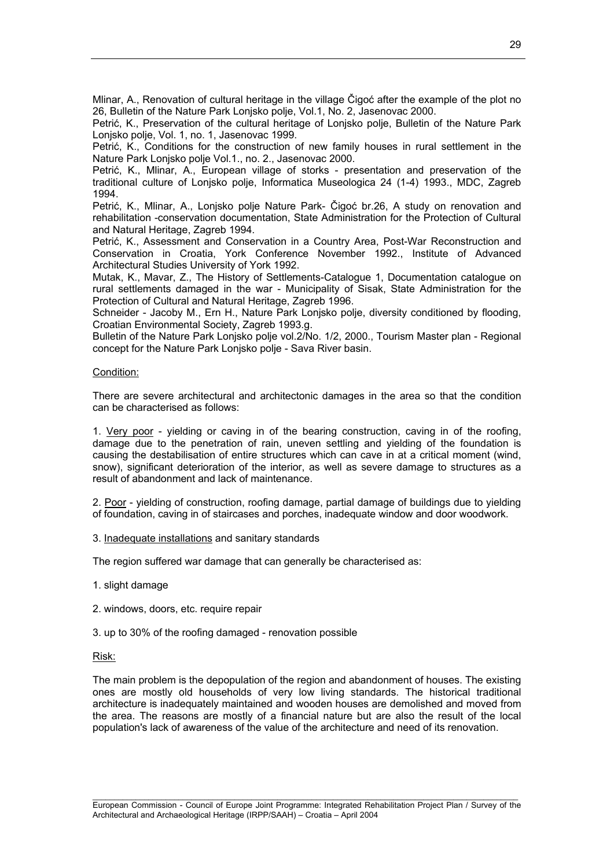Mlinar, A., Renovation of cultural heritage in the village Čigoć after the example of the plot no 26, Bulletin of the Nature Park Lonjsko polje, Vol.1, No. 2, Jasenovac 2000.

Petrić, K., Preservation of the cultural heritage of Lonjsko polje, Bulletin of the Nature Park Lonjsko polje, Vol. 1, no. 1, Jasenovac 1999.

Petrić, K., Conditions for the construction of new family houses in rural settlement in the Nature Park Lonjsko polje Vol.1., no. 2., Jasenovac 2000.

Petrić, K., Mlinar, A., European village of storks - presentation and preservation of the traditional culture of Lonjsko polje, Informatica Museologica 24 (1-4) 1993., MDC, Zagreb 1994.

Petrić, K., Mlinar, A., Lonjsko polje Nature Park- Čigoć br.26, A study on renovation and rehabilitation -conservation documentation, State Administration for the Protection of Cultural and Natural Heritage, Zagreb 1994.

Petrić, K., Assessment and Conservation in a Country Area, Post-War Reconstruction and Conservation in Croatia, York Conference November 1992., Institute of Advanced Architectural Studies University of York 1992.

Mutak, K., Mavar, Z., The History of Settlements-Catalogue 1, Documentation catalogue on rural settlements damaged in the war - Municipality of Sisak, State Administration for the Protection of Cultural and Natural Heritage, Zagreb 1996.

Schneider - Jacoby M., Ern H., Nature Park Lonjsko polje, diversity conditioned by flooding, Croatian Environmental Society, Zagreb 1993.g.

Bulletin of the Nature Park Lonjsko polje vol.2/No. 1/2, 2000., Tourism Master plan - Regional concept for the Nature Park Lonjsko polje - Sava River basin.

#### Condition:

There are severe architectural and architectonic damages in the area so that the condition can be characterised as follows:

1. Very poor - yielding or caving in of the bearing construction, caving in of the roofing, damage due to the penetration of rain, uneven settling and yielding of the foundation is causing the destabilisation of entire structures which can cave in at a critical moment (wind, snow), significant deterioration of the interior, as well as severe damage to structures as a result of abandonment and lack of maintenance.

2. Poor - yielding of construction, roofing damage, partial damage of buildings due to yielding of foundation, caving in of staircases and porches, inadequate window and door woodwork.

3. Inadequate installations and sanitary standards

The region suffered war damage that can generally be characterised as:

- 1. slight damage
- 2. windows, doors, etc. require repair
- 3. up to 30% of the roofing damaged renovation possible

#### Risk:

The main problem is the depopulation of the region and abandonment of houses. The existing ones are mostly old households of very low living standards. The historical traditional architecture is inadequately maintained and wooden houses are demolished and moved from the area. The reasons are mostly of a financial nature but are also the result of the local population's lack of awareness of the value of the architecture and need of its renovation.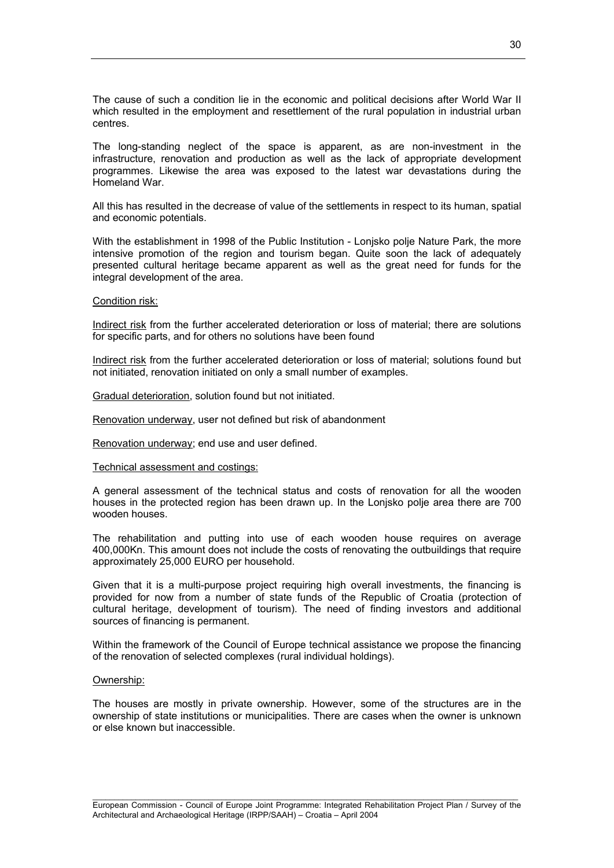The cause of such a condition lie in the economic and political decisions after World War II which resulted in the employment and resettlement of the rural population in industrial urban centres.

The long-standing neglect of the space is apparent, as are non-investment in the infrastructure, renovation and production as well as the lack of appropriate development programmes. Likewise the area was exposed to the latest war devastations during the Homeland War.

All this has resulted in the decrease of value of the settlements in respect to its human, spatial and economic potentials.

With the establishment in 1998 of the Public Institution - Lonjsko polje Nature Park, the more intensive promotion of the region and tourism began. Quite soon the lack of adequately presented cultural heritage became apparent as well as the great need for funds for the integral development of the area.

#### Condition risk:

Indirect risk from the further accelerated deterioration or loss of material; there are solutions for specific parts, and for others no solutions have been found

Indirect risk from the further accelerated deterioration or loss of material; solutions found but not initiated, renovation initiated on only a small number of examples.

Gradual deterioration, solution found but not initiated.

Renovation underway, user not defined but risk of abandonment

Renovation underway; end use and user defined.

#### Technical assessment and costings:

A general assessment of the technical status and costs of renovation for all the wooden houses in the protected region has been drawn up. In the Lonjsko polje area there are 700 wooden houses.

The rehabilitation and putting into use of each wooden house requires on average 400,000Kn. This amount does not include the costs of renovating the outbuildings that require approximately 25,000 EURO per household.

Given that it is a multi-purpose project requiring high overall investments, the financing is provided for now from a number of state funds of the Republic of Croatia (protection of cultural heritage, development of tourism). The need of finding investors and additional sources of financing is permanent.

Within the framework of the Council of Europe technical assistance we propose the financing of the renovation of selected complexes (rural individual holdings).

#### Ownership:

The houses are mostly in private ownership. However, some of the structures are in the ownership of state institutions or municipalities. There are cases when the owner is unknown or else known but inaccessible.